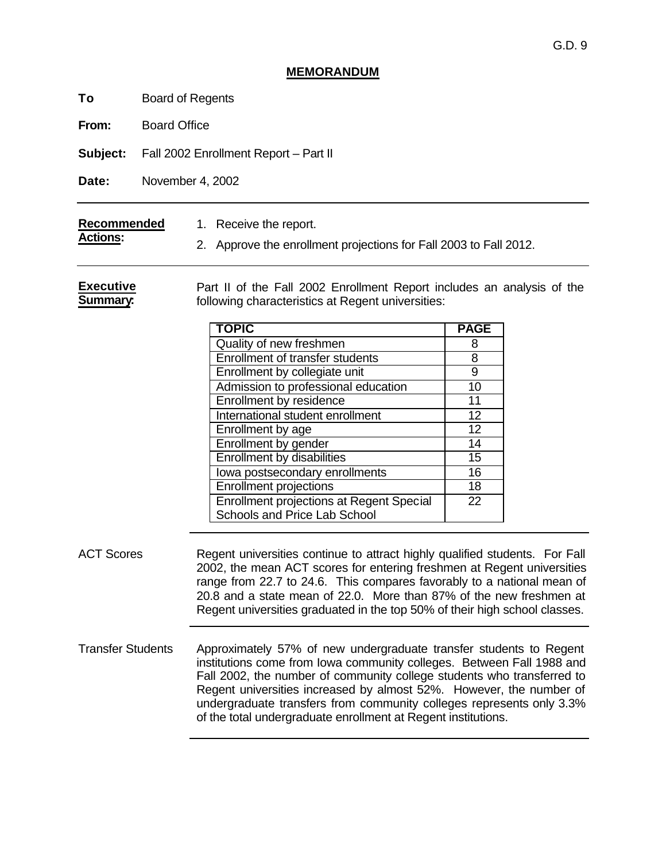## **MEMORANDUM**

**To** Board of Regents

**From:** Board Office

**Subject:** Fall 2002 Enrollment Report – Part II

**Date:** November 4, 2002

| Recommended     | 1. Receive the report.                                            |
|-----------------|-------------------------------------------------------------------|
| <b>Actions:</b> | 2. Approve the enrollment projections for Fall 2003 to Fall 2012. |

**Executive Summary:** Part II of the Fall 2002 Enrollment Report includes an analysis of the following characteristics at Regent universities:

| <b>TOPIC</b>                                    | <b>PAGE</b> |
|-------------------------------------------------|-------------|
| Quality of new freshmen                         | 8           |
| Enrollment of transfer students                 | 8           |
| Enrollment by collegiate unit                   | 9           |
| Admission to professional education             | 10          |
| Enrollment by residence                         | 11          |
| International student enrollment                | 12          |
| Enrollment by age                               | 12          |
| Enrollment by gender                            | 14          |
| <b>Enrollment by disabilities</b>               | 15          |
| lowa postsecondary enrollments                  | 16          |
| <b>Enrollment projections</b>                   | 18          |
| <b>Enrollment projections at Regent Special</b> | 22          |
| Schools and Price Lab School                    |             |

ACT Scores Regent universities continue to attract highly qualified students. For Fall 2002, the mean ACT scores for entering freshmen at Regent universities range from 22.7 to 24.6. This compares favorably to a national mean of 20.8 and a state mean of 22.0. More than 87% of the new freshmen at Regent universities graduated in the top 50% of their high school classes.

Transfer Students Approximately 57% of new undergraduate transfer students to Regent institutions come from Iowa community colleges. Between Fall 1988 and Fall 2002, the number of community college students who transferred to Regent universities increased by almost 52%. However, the number of undergraduate transfers from community colleges represents only 3.3% of the total undergraduate enrollment at Regent institutions.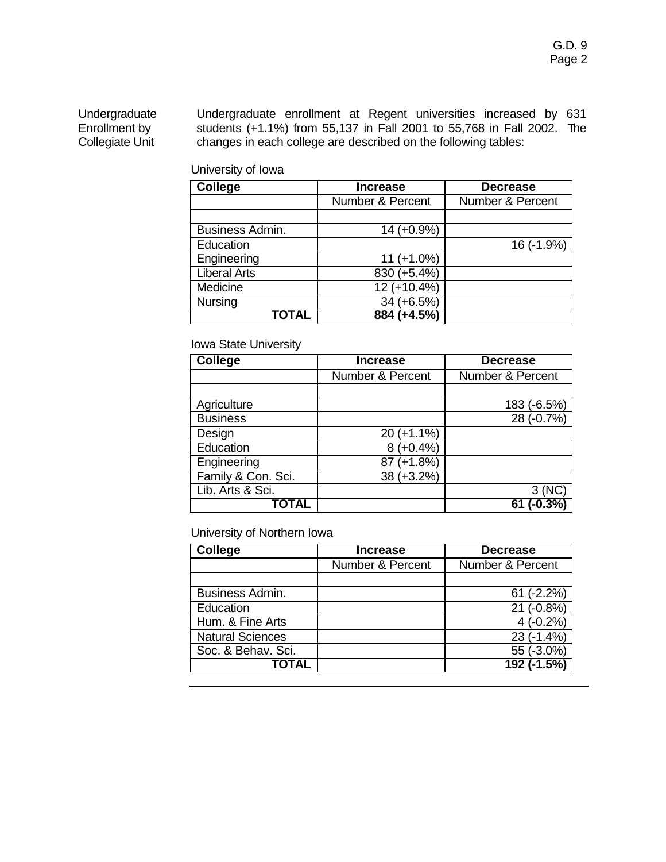Undergraduate Enrollment by Collegiate Unit

Undergraduate enrollment at Regent universities increased by 631 students (+1.1%) from 55,137 in Fall 2001 to 55,768 in Fall 2002. The changes in each college are described on the following tables:

University of Iowa

| <b>College</b>      | <b>Increase</b>  | <b>Decrease</b>  |
|---------------------|------------------|------------------|
|                     | Number & Percent | Number & Percent |
|                     |                  |                  |
| Business Admin.     | $14 (+0.9\%)$    |                  |
| Education           |                  | 16 (-1.9%)       |
| Engineering         | $11 (+1.0\%)$    |                  |
| <b>Liberal Arts</b> | 830 (+5.4%)      |                  |
| Medicine            | 12 (+10.4%)      |                  |
| <b>Nursing</b>      | $34 (+6.5%)$     |                  |
| <b>TOTAL</b>        | 884 (+4.5%)      |                  |

## Iowa State University

| <b>College</b>     | <b>Increase</b>             | <b>Decrease</b>  |
|--------------------|-----------------------------|------------------|
|                    | <b>Number &amp; Percent</b> | Number & Percent |
|                    |                             |                  |
| Agriculture        |                             | 183 (-6.5%)      |
| <b>Business</b>    |                             | 28 (-0.7%)       |
| Design             | $20 (+1.1\%)$               |                  |
| Education          | $(+0.4\%)$<br>8             |                  |
| Engineering        | $87 (+1.8%)$                |                  |
| Family & Con. Sci. | 38 (+3.2%)                  |                  |
| Lib. Arts & Sci.   |                             | 3 (NC            |
| <b>TOTAL</b>       |                             |                  |

University of Northern Iowa

| <b>College</b>          | <b>Increase</b>  | <b>Decrease</b>             |
|-------------------------|------------------|-----------------------------|
|                         | Number & Percent | <b>Number &amp; Percent</b> |
|                         |                  |                             |
| Business Admin.         |                  | $61 (-2.2%)$                |
| Education               |                  | $21 (-0.8\%)$               |
| Hum. & Fine Arts        |                  | $4(-0.2\%)$                 |
| <b>Natural Sciences</b> |                  | $23(-1.4%)$                 |
| Soc. & Behav. Sci.      |                  | 55 (-3.0%)                  |
| <b>TOTAL</b>            |                  | $\overline{192}$ (-1.5%)    |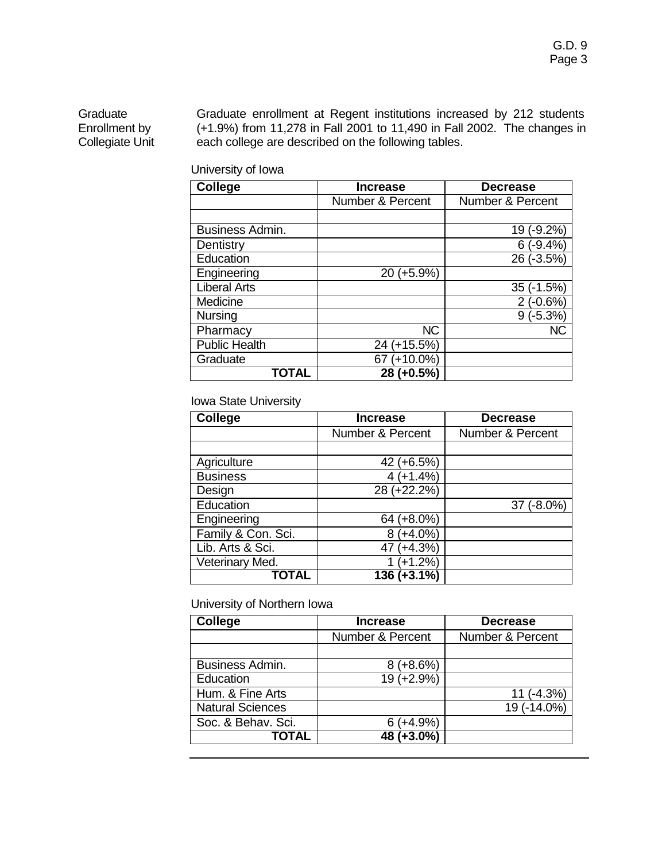## Graduate Enrollment by Collegiate Unit

Graduate enrollment at Regent institutions increased by 212 students (+1.9%) from 11,278 in Fall 2001 to 11,490 in Fall 2002. The changes in each college are described on the following tables.

| <b>College</b>       | <b>Increase</b>  | <b>Decrease</b>  |
|----------------------|------------------|------------------|
|                      | Number & Percent | Number & Percent |
|                      |                  |                  |
| Business Admin.      |                  | 19 (-9.2%)       |
| Dentistry            |                  | $6(-9.4%)$       |
| Education            |                  | 26 (-3.5%)       |
| Engineering          | $(+5.9%)$<br>20  |                  |
| <b>Liberal Arts</b>  |                  | 35 (-1.5%)       |
| Medicine             |                  | $2(-0.6%)$       |
| <b>Nursing</b>       |                  | $9(-5.3%)$       |
| Pharmacy             | <b>NC</b>        | <b>NC</b>        |
| <b>Public Health</b> | 24 (+15.5%)      |                  |
| Graduate             | 67 (+10.0%)      |                  |
|                      | 28 (+0.5%)       |                  |

## Iowa State University

| <b>College</b>     | <b>Increase</b>             | <b>Decrease</b>  |
|--------------------|-----------------------------|------------------|
|                    | <b>Number &amp; Percent</b> | Number & Percent |
|                    |                             |                  |
| Agriculture        | 42 (+6.5%)                  |                  |
| <b>Business</b>    | $4 (+1.4%)$                 |                  |
| Design             | 28 (+22.2%)                 |                  |
| Education          |                             | 37 (-8.0%)       |
| Engineering        | 64 (+8.0%)                  |                  |
| Family & Con. Sci. | $8 (+4.0\%)$                |                  |
| Lib. Arts & Sci.   | 47 (+4.3%)                  |                  |
| Veterinary Med.    | $(+1.2%)$                   |                  |
| TOTAL              | 136 (+3.1%)                 |                  |

## University of Northern Iowa

| <b>College</b>          | <b>Increase</b>  | <b>Decrease</b>  |
|-------------------------|------------------|------------------|
|                         | Number & Percent | Number & Percent |
|                         |                  |                  |
| Business Admin.         | $(+8.6%)$        |                  |
| Education               | 19 (+2.9%)       |                  |
| Hum. & Fine Arts        |                  | $11 (-4.3%)$     |
| <b>Natural Sciences</b> |                  | 19 (-14.0%)      |
| Soc. & Behav. Sci.      | $6 (+4.9%)$      |                  |
| TOTAL                   | 48 (+3.0%)       |                  |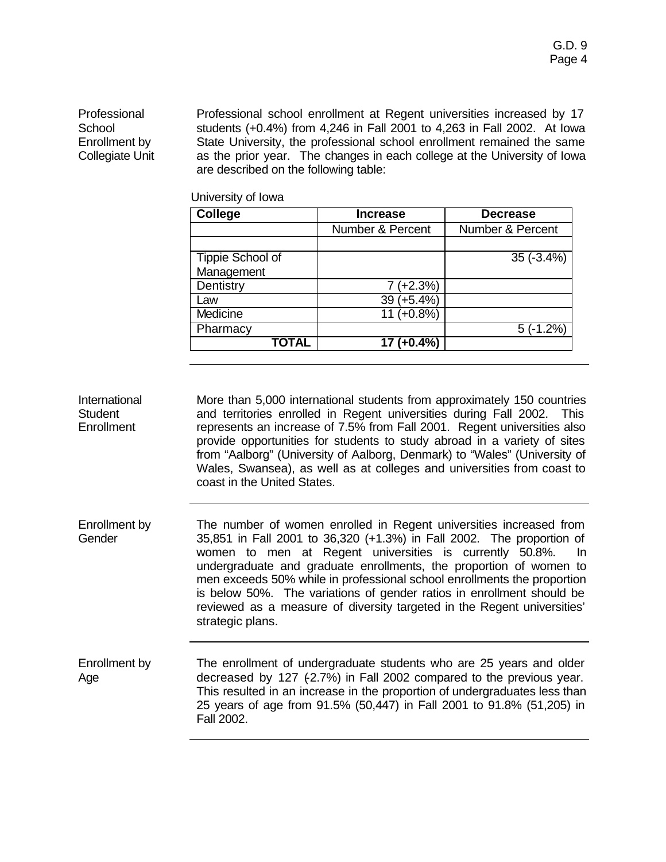Professional **School** Enrollment by Collegiate Unit Professional school enrollment at Regent universities increased by 17 students (+0.4%) from 4,246 in Fall 2001 to 4,263 in Fall 2002. At Iowa State University, the professional school enrollment remained the same as the prior year. The changes in each college at the University of Iowa are described on the following table:

University of Iowa

| <b>College</b>   | <b>Increase</b>             | <b>Decrease</b>             |
|------------------|-----------------------------|-----------------------------|
|                  | <b>Number &amp; Percent</b> | <b>Number &amp; Percent</b> |
|                  |                             |                             |
| Tippie School of |                             | $35(-3.4%)$                 |
| Management       |                             |                             |
| Dentistry        | $7 (+2.3%)$                 |                             |
| Law              | 39 (+5.4%)                  |                             |
| Medicine         | $11 (+0.8\%)$               |                             |
| Pharmacy         |                             | $5(-1.2%)$                  |
| <b>TOTAL</b>     | $\overline{17 (+0.4\%)}$    |                             |

International **Student Enrollment** More than 5,000 international students from approximately 150 countries and territories enrolled in Regent universities during Fall 2002. This represents an increase of 7.5% from Fall 2001. Regent universities also provide opportunities for students to study abroad in a variety of sites from "Aalborg" (University of Aalborg, Denmark) to "Wales" (University of Wales, Swansea), as well as at colleges and universities from coast to coast in the United States.

- Enrollment by **Gender** The number of women enrolled in Regent universities increased from 35,851 in Fall 2001 to 36,320 (+1.3%) in Fall 2002. The proportion of women to men at Regent universities is currently 50.8%. In undergraduate and graduate enrollments, the proportion of women to men exceeds 50% while in professional school enrollments the proportion is below 50%. The variations of gender ratios in enrollment should be reviewed as a measure of diversity targeted in the Regent universities' strategic plans.
- Enrollment by Age The enrollment of undergraduate students who are 25 years and older decreased by 127 (-2.7%) in Fall 2002 compared to the previous year. This resulted in an increase in the proportion of undergraduates less than 25 years of age from 91.5% (50,447) in Fall 2001 to 91.8% (51,205) in Fall 2002.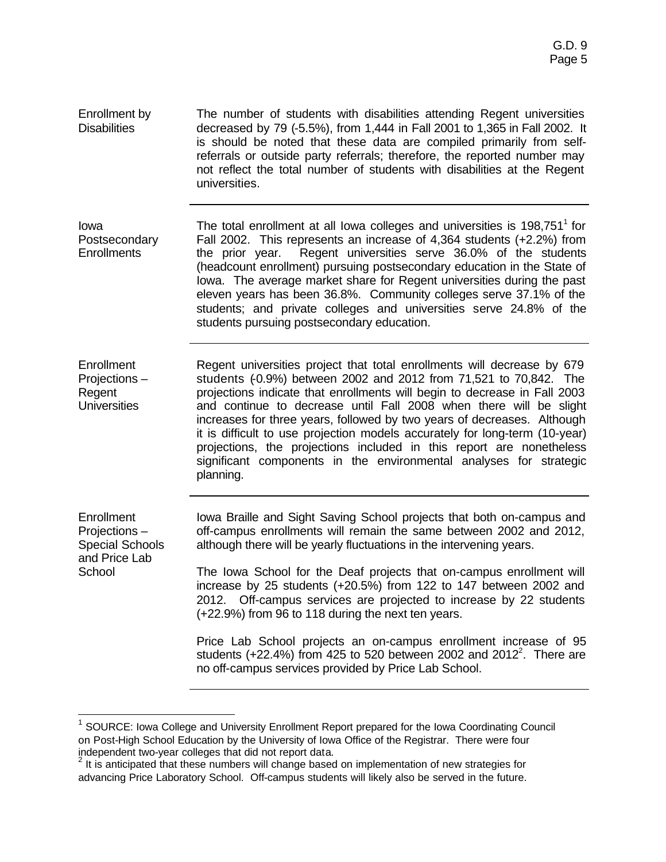Enrollment by **Disabilities** The number of students with disabilities attending Regent universities decreased by 79 (-5.5%), from 1,444 in Fall 2001 to 1,365 in Fall 2002. It is should be noted that these data are compiled primarily from selfreferrals or outside party referrals; therefore, the reported number may not reflect the total number of students with disabilities at the Regent universities.

Iowa Postsecondary **Enrollments** The total enrollment at all lowa colleges and universities is  $198,751<sup>1</sup>$  for Fall 2002. This represents an increase of 4,364 students (+2.2%) from the prior year. Regent universities serve 36.0% of the students (headcount enrollment) pursuing postsecondary education in the State of Iowa. The average market share for Regent universities during the past eleven years has been 36.8%. Community colleges serve 37.1% of the students; and private colleges and universities serve 24.8% of the students pursuing postsecondary education.

**Enrollment** Projections – Regent **Universities** Regent universities project that total enrollments will decrease by 679 students (-0.9%) between 2002 and 2012 from 71,521 to 70,842. The projections indicate that enrollments will begin to decrease in Fall 2003 and continue to decrease until Fall 2008 when there will be slight increases for three years, followed by two years of decreases. Although it is difficult to use projection models accurately for long-term (10-year) projections, the projections included in this report are nonetheless significant components in the environmental analyses for strategic planning.

| Enrollment<br>Projections-<br><b>Special Schools</b><br>and Price Lab | Iowa Braille and Sight Saving School projects that both on-campus and<br>off-campus enrollments will remain the same between 2002 and 2012,<br>although there will be yearly fluctuations in the intervening years.                                                   |
|-----------------------------------------------------------------------|-----------------------------------------------------------------------------------------------------------------------------------------------------------------------------------------------------------------------------------------------------------------------|
| School                                                                | The lowa School for the Deaf projects that on-campus enrollment will<br>increase by 25 students (+20.5%) from 122 to 147 between 2002 and<br>2012. Off-campus services are projected to increase by 22 students<br>(+22.9%) from 96 to 118 during the next ten years. |
|                                                                       | Price Lab School projects an on-campus enrollment increase of 95<br>students (+22.4%) from 425 to 520 between 2002 and 2012 <sup>2</sup> . There are<br>no off-campus services provided by Price Lab School.                                                          |

 $\overline{a}$ 

<sup>&</sup>lt;sup>1</sup> SOURCE: Iowa College and University Enrollment Report prepared for the Iowa Coordinating Council on Post-High School Education by the University of Iowa Office of the Registrar. There were four independent two-year colleges that did not report data.<br><sup>2</sup> It is anticipated that these numbers will change based on implementation of new strategies for

advancing Price Laboratory School. Off-campus students will likely also be served in the future.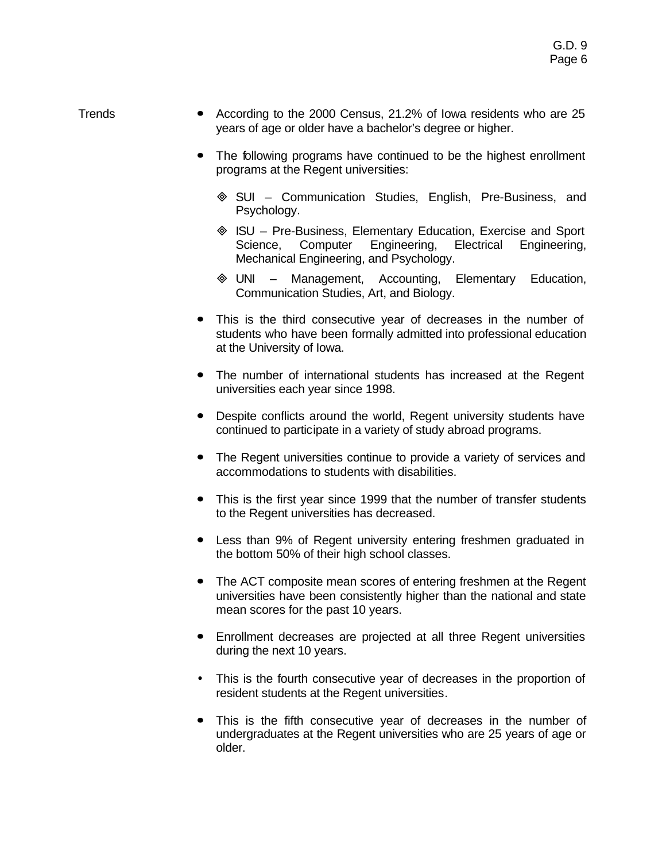- Trends **ó** According to the 2000 Census, 21.2% of Iowa residents who are 25 years of age or older have a bachelor's degree or higher.
	- **ó** The following programs have continued to be the highest enrollment programs at the Regent universities:
		- ³ SUI Communication Studies, English, Pre-Business, and Psychology.
		- ³ ISU Pre-Business, Elementary Education, Exercise and Sport Science, Computer Engineering, Electrical Engineering, Mechanical Engineering, and Psychology.
		- ³ UNI Management, Accounting, Elementary Education, Communication Studies, Art, and Biology.
	- This is the third consecutive year of decreases in the number of students who have been formally admitted into professional education at the University of Iowa.
	- **ó** The number of international students has increased at the Regent universities each year since 1998.
	- **ó** Despite conflicts around the world, Regent university students have continued to participate in a variety of study abroad programs.
	- **ó** The Regent universities continue to provide a variety of services and accommodations to students with disabilities.
	- **ó** This is the first year since 1999 that the number of transfer students to the Regent universities has decreased.
	- **ó** Less than 9% of Regent university entering freshmen graduated in the bottom 50% of their high school classes.
	- **ó** The ACT composite mean scores of entering freshmen at the Regent universities have been consistently higher than the national and state mean scores for the past 10 years.
	- **ó** Enrollment decreases are projected at all three Regent universities during the next 10 years.
	- This is the fourth consecutive year of decreases in the proportion of resident students at the Regent universities.
	- **ó** This is the fifth consecutive year of decreases in the number of undergraduates at the Regent universities who are 25 years of age or older.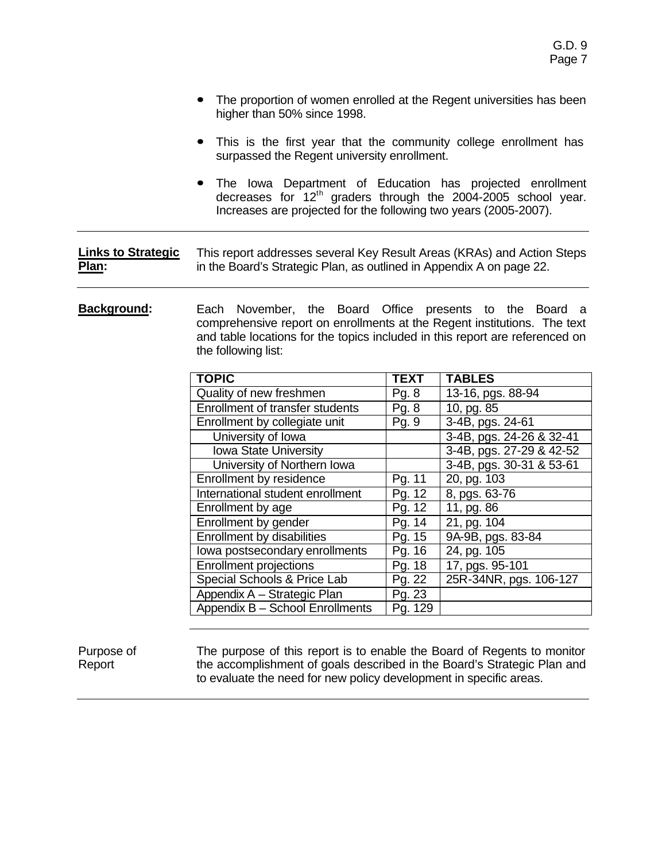- The proportion of women enrolled at the Regent universities has been higher than 50% since 1998.
- This is the first year that the community college enrollment has surpassed the Regent university enrollment.
- **ó** The Iowa Department of Education has projected enrollment decreases for 12<sup>th</sup> graders through the 2004-2005 school year. Increases are projected for the following two years (2005-2007).

#### **Links to Strategic Plan:** This report addresses several Key Result Areas (KRAs) and Action Steps in the Board's Strategic Plan, as outlined in Appendix A on page 22.

**Background:** Each November, the Board Office presents to the Board a comprehensive report on enrollments at the Regent institutions. The text and table locations for the topics included in this report are referenced on the following list:

| <b>TOPIC</b>                     | TEXT    | <b>TABLES</b>            |
|----------------------------------|---------|--------------------------|
| Quality of new freshmen          | Pg. 8   | 13-16, pgs. 88-94        |
| Enrollment of transfer students  | Pg. 8   | 10, pg. 85               |
| Enrollment by collegiate unit    | Pg. 9   | 3-4B, pgs. 24-61         |
| University of Iowa               |         | 3-4B, pgs. 24-26 & 32-41 |
| Iowa State University            |         | 3-4B, pgs. 27-29 & 42-52 |
| University of Northern Iowa      |         | 3-4B, pgs. 30-31 & 53-61 |
| Enrollment by residence          | Pg. 11  | 20, pg. 103              |
| International student enrollment | Pg. 12  | 8, pgs. 63-76            |
| Enrollment by age                | Pg. 12  | 11, pg. 86               |
| Enrollment by gender             | Pg. 14  | 21, pg. 104              |
| Enrollment by disabilities       | Pg. 15  | 9A-9B, pgs. 83-84        |
| lowa postsecondary enrollments   | Pg. 16  | 24, pg. 105              |
| <b>Enrollment projections</b>    | Pg. 18  | 17, pgs. 95-101          |
| Special Schools & Price Lab      | Pg. 22  | 25R-34NR, pgs. 106-127   |
| Appendix A - Strategic Plan      | Pg. 23  |                          |
| Appendix B - School Enrollments  | Pg. 129 |                          |

#### Purpose of Report

The purpose of this report is to enable the Board of Regents to monitor the accomplishment of goals described in the Board's Strategic Plan and to evaluate the need for new policy development in specific areas.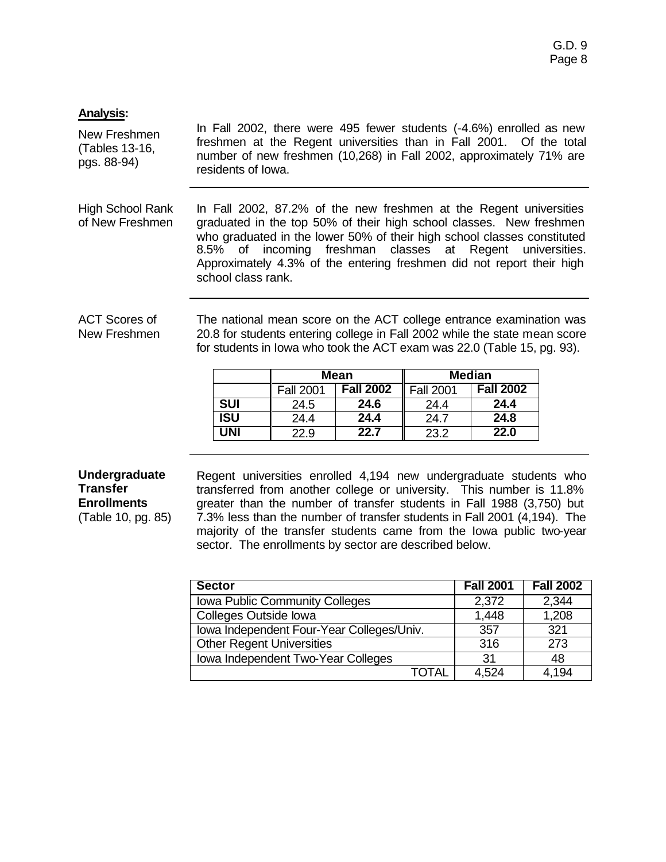## **Analysis:**

New Freshmen (Tables 13-16, pgs. 88-94) In Fall 2002, there were 495 fewer students (-4.6%) enrolled as new freshmen at the Regent universities than in Fall 2001. Of the total number of new freshmen (10,268) in Fall 2002, approximately 71% are residents of Iowa.

High School Rank of New Freshmen In Fall 2002, 87.2% of the new freshmen at the Regent universities graduated in the top 50% of their high school classes. New freshmen who graduated in the lower 50% of their high school classes constituted 8.5% of incoming freshman classes at Regent universities. Approximately 4.3% of the entering freshmen did not report their high school class rank.

ACT Scores of New Freshmen The national mean score on the ACT college entrance examination was 20.8 for students entering college in Fall 2002 while the state mean score for students in Iowa who took the ACT exam was 22.0 (Table 15, pg. 93).

|            | <b>Mean</b>      |                  | <b>Median</b>    |                  |
|------------|------------------|------------------|------------------|------------------|
|            | <b>Fall 2001</b> | <b>Fall 2002</b> | <b>Fall 2001</b> | <b>Fall 2002</b> |
| <b>SUI</b> | 24.5             | 24.6             | 24.4             | 24.4             |
| ISU        | 24.4             | 24.4             | 24.7             | 24.8             |
| INI        | 22.9             | 22.7             | 23.2             | 22.0             |

## **Undergraduate Transfer Enrollments** (Table 10, pg. 85)

Regent universities enrolled 4,194 new undergraduate students who transferred from another college or university. This number is 11.8% greater than the number of transfer students in Fall 1988 (3,750) but 7.3% less than the number of transfer students in Fall 2001 (4,194). The majority of the transfer students came from the Iowa public two-year sector. The enrollments by sector are described below.

| <b>Sector</b>                             | <b>Fall 2001</b> | <b>Fall 2002</b> |
|-------------------------------------------|------------------|------------------|
| Iowa Public Community Colleges            | 2,372            | 2,344            |
| Colleges Outside lowa                     | 1,448            | 1,208            |
| Iowa Independent Four-Year Colleges/Univ. | 357              | 321              |
| <b>Other Regent Universities</b>          | 316              | 273              |
| Iowa Independent Two-Year Colleges        | 31               | 48               |
| ΤΩΤΑΙ                                     | 4.524            | 4.194            |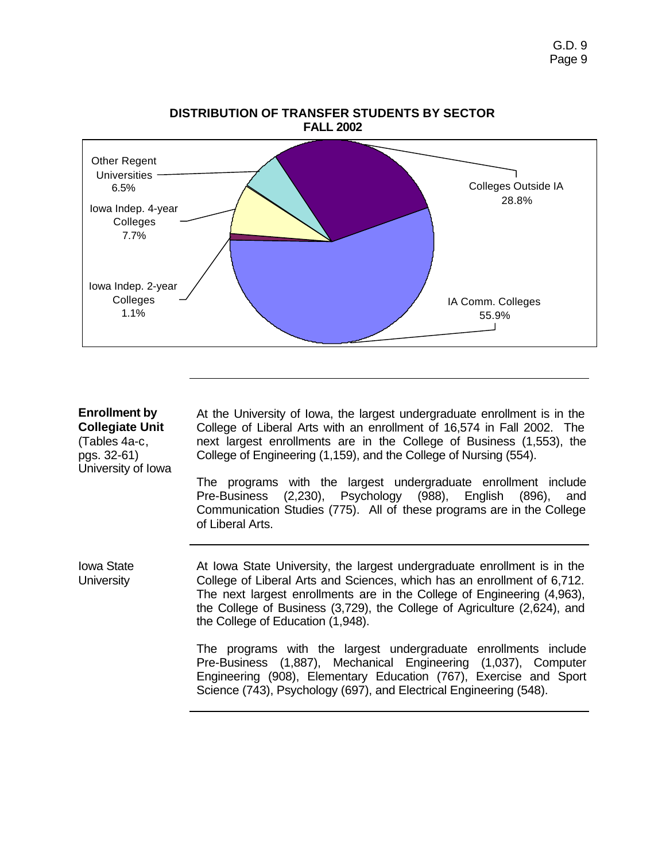

# **Enrollment by**

**Collegiate Unit** (Tables 4a-c, pgs. 32-61) University of Iowa At the University of Iowa, the largest undergraduate enrollment is in the College of Liberal Arts with an enrollment of 16,574 in Fall 2002. The next largest enrollments are in the College of Business (1,553), the College of Engineering (1,159), and the College of Nursing (554).

The programs with the largest undergraduate enrollment include Pre-Business (2,230), Psychology (988), English (896), and Communication Studies (775). All of these programs are in the College of Liberal Arts.

Iowa State **University** 

At Iowa State University, the largest undergraduate enrollment is in the College of Liberal Arts and Sciences, which has an enrollment of 6,712. The next largest enrollments are in the College of Engineering (4,963), the College of Business (3,729), the College of Agriculture (2,624), and the College of Education (1,948).

The programs with the largest undergraduate enrollments include Pre-Business (1,887), Mechanical Engineering (1,037), Computer Engineering (908), Elementary Education (767), Exercise and Sport Science (743), Psychology (697), and Electrical Engineering (548).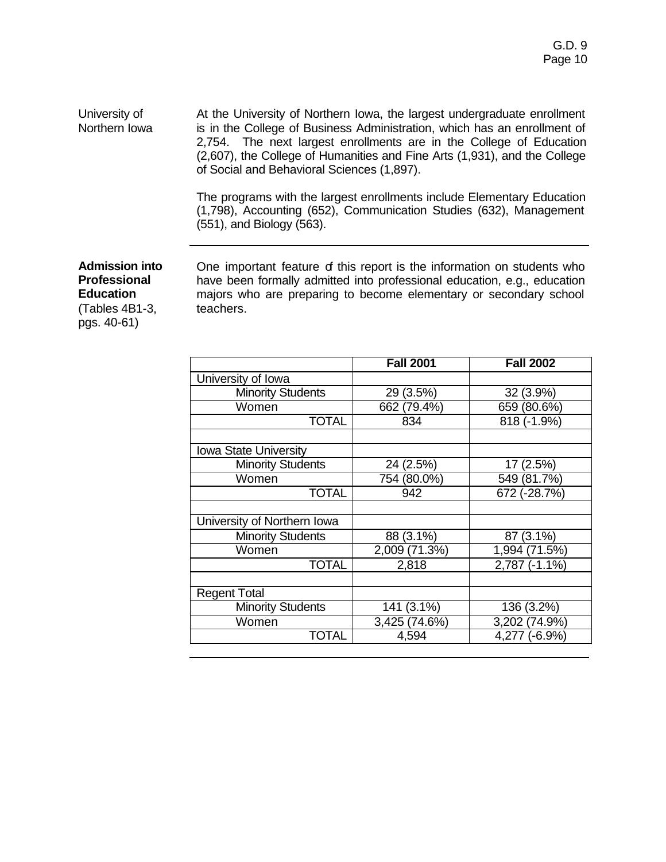University of Northern Iowa At the University of Northern Iowa, the largest undergraduate enrollment is in the College of Business Administration, which has an enrollment of 2,754. The next largest enrollments are in the College of Education (2,607), the College of Humanities and Fine Arts (1,931), and the College of Social and Behavioral Sciences (1,897).

> The programs with the largest enrollments include Elementary Education (1,798), Accounting (652), Communication Studies (632), Management (551), and Biology (563).

**Admission into Professional Education** (Tables 4B1-3, pgs. 40-61)

One important feature of this report is the information on students who have been formally admitted into professional education, e.g., education majors who are preparing to become elementary or secondary school teachers.

| <b>Fall 2001</b> | <b>Fall 2002</b> |  |
|------------------|------------------|--|
|                  |                  |  |
| 29(3.5%)         | 32 (3.9%)        |  |
| 662 (79.4%)      | 659 (80.6%)      |  |
| 834              | 818 (-1.9%)      |  |
|                  |                  |  |
|                  |                  |  |
| 24 (2.5%)        | 17 (2.5%)        |  |
| 754 (80.0%)      | 549 (81.7%)      |  |
| 942              | 672 (-28.7%)     |  |
|                  |                  |  |
|                  |                  |  |
| 88 (3.1%)        | 87 (3.1%)        |  |
| 2,009 (71.3%)    | 1,994 (71.5%)    |  |
| 2,818            | 2,787 (-1.1%)    |  |
|                  |                  |  |
|                  |                  |  |
| 141 (3.1%)       | 136 (3.2%)       |  |
| 3,425 (74.6%)    | 3,202 (74.9%)    |  |
| 4,594            | 4,277 (-6.9%)    |  |
|                  |                  |  |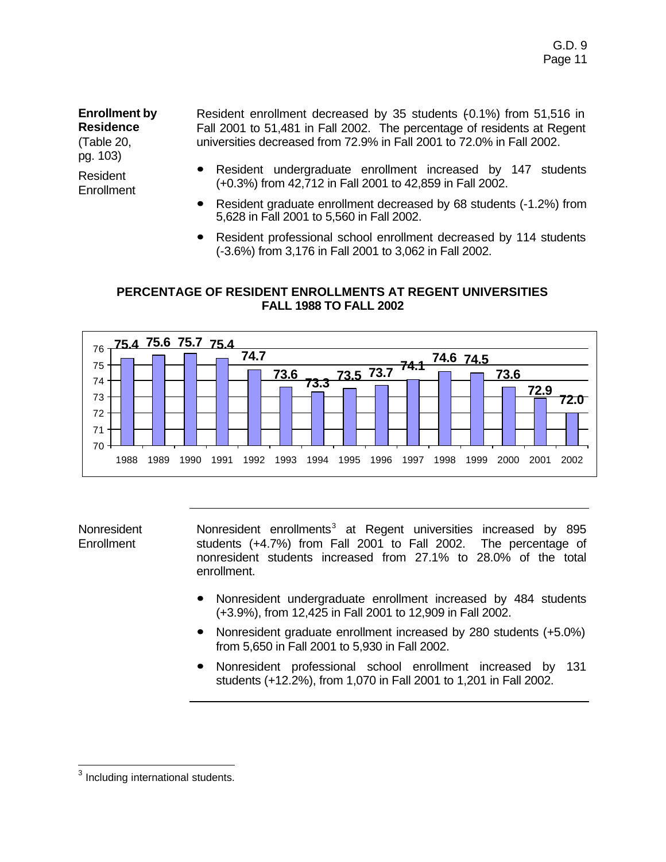**Enrollment by Residence** (Table 20,

pg. 103)

Resident **Enrollment**  Resident enrollment decreased by 35 students (-0.1%) from 51,516 in Fall 2001 to 51,481 in Fall 2002. The percentage of residents at Regent universities decreased from 72.9% in Fall 2001 to 72.0% in Fall 2002.

- **ó** Resident undergraduate enrollment increased by 147 students (+0.3%) from 42,712 in Fall 2001 to 42,859 in Fall 2002.
- **ó** Resident graduate enrollment decreased by 68 students (-1.2%) from 5,628 in Fall 2001 to 5,560 in Fall 2002.
- **ó** Resident professional school enrollment decreased by 114 students (-3.6%) from 3,176 in Fall 2001 to 3,062 in Fall 2002.

## **PERCENTAGE OF RESIDENT ENROLLMENTS AT REGENT UNIVERSITIES FALL 1988 TO FALL 2002**



Nonresident Enrollment

Nonresident enrollments<sup>3</sup> at Regent universities increased by 895 students (+4.7%) from Fall 2001 to Fall 2002. The percentage of nonresident students increased from 27.1% to 28.0% of the total enrollment.

- **ó** Nonresident undergraduate enrollment increased by 484 students (+3.9%), from 12,425 in Fall 2001 to 12,909 in Fall 2002.
- **ó** Nonresident graduate enrollment increased by 280 students (+5.0%) from 5,650 in Fall 2001 to 5,930 in Fall 2002.
- **ó** Nonresident professional school enrollment increased by 131 students (+12.2%), from 1,070 in Fall 2001 to 1,201 in Fall 2002.

 3 Including international students.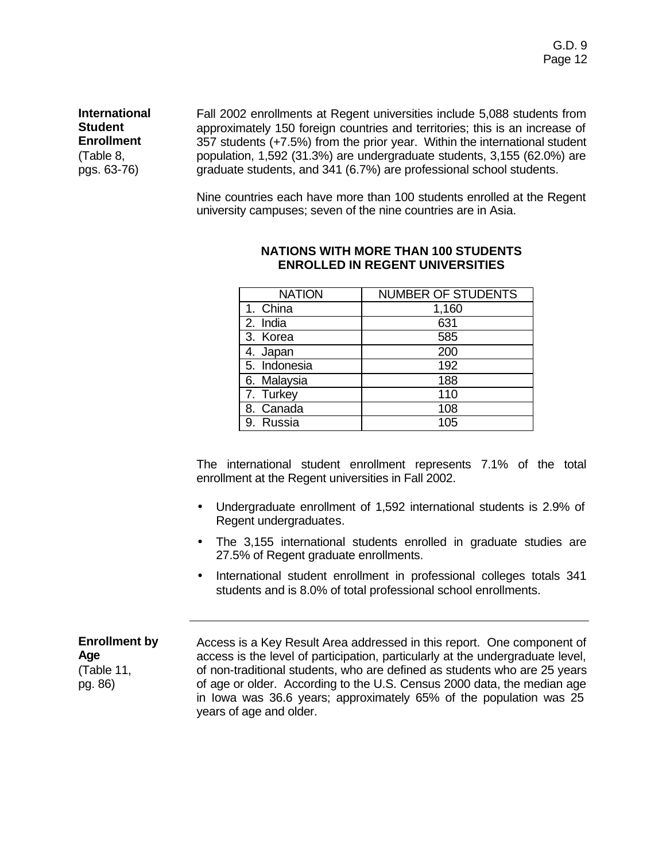**International Student Enrollment** (Table 8, pgs. 63-76)

Fall 2002 enrollments at Regent universities include 5,088 students from approximately 150 foreign countries and territories; this is an increase of 357 students (+7.5%) from the prior year. Within the international student population, 1,592 (31.3%) are undergraduate students, 3,155 (62.0%) are graduate students, and 341 (6.7%) are professional school students.

Nine countries each have more than 100 students enrolled at the Regent university campuses; seven of the nine countries are in Asia.

| <b>NATION</b> | <b>NUMBER OF STUDENTS</b> |
|---------------|---------------------------|
| 1. China      | 1,160                     |
| 2. India      | 631                       |
| 3. Korea      | 585                       |
| 4. Japan      | 200                       |
| 5. Indonesia  | 192                       |
| 6. Malaysia   | 188                       |
| 7. Turkey     | 110                       |
| 8. Canada     | 108                       |
| 9. Russia     | 105                       |

#### **NATIONS WITH MORE THAN 100 STUDENTS ENROLLED IN REGENT UNIVERSITIES**

The international student enrollment represents 7.1% of the total enrollment at the Regent universities in Fall 2002.

- Undergraduate enrollment of 1,592 international students is 2.9% of Regent undergraduates.
- The 3,155 international students enrolled in graduate studies are 27.5% of Regent graduate enrollments.
- International student enrollment in professional colleges totals 341 students and is 8.0% of total professional school enrollments.

**Enrollment by Age** (Table 11, pg. 86) Access is a Key Result Area addressed in this report. One component of access is the level of participation, particularly at the undergraduate level, of non-traditional students, who are defined as students who are 25 years of age or older. According to the U.S. Census 2000 data, the median age in Iowa was 36.6 years; approximately 65% of the population was 25 years of age and older.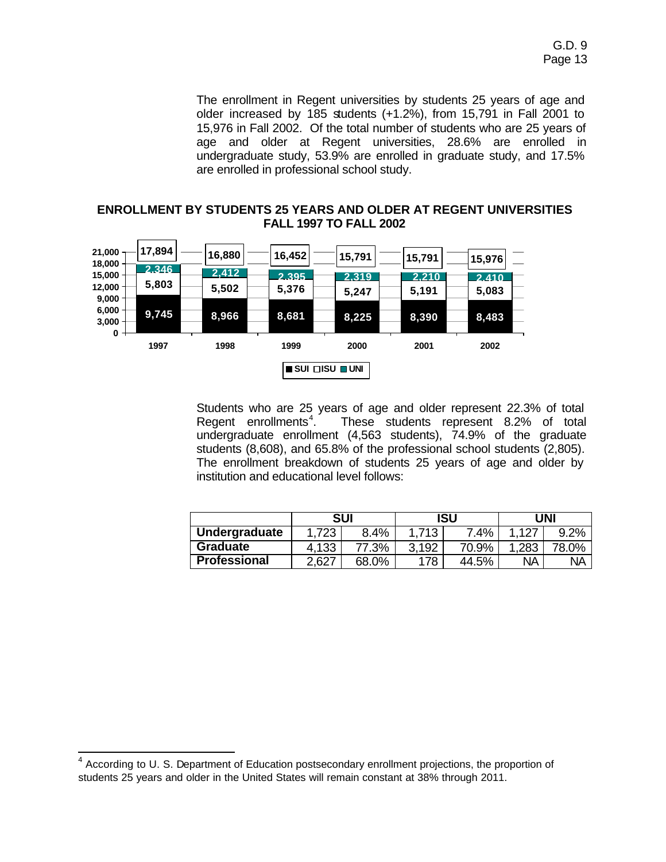The enrollment in Regent universities by students 25 years of age and older increased by 185 students (+1.2%), from 15,791 in Fall 2001 to 15,976 in Fall 2002. Of the total number of students who are 25 years of age and older at Regent universities, 28.6% are enrolled in undergraduate study, 53.9% are enrolled in graduate study, and 17.5% are enrolled in professional school study.

## **ENROLLMENT BY STUDENTS 25 YEARS AND OLDER AT REGENT UNIVERSITIES FALL 1997 TO FALL 2002**



Students who are 25 years of age and older represent 22.3% of total Regent enrollments $4.$ . These students represent 8.2% of total undergraduate enrollment (4,563 students), 74.9% of the graduate students (8,608), and 65.8% of the professional school students (2,805). The enrollment breakdown of students 25 years of age and older by institution and educational level follows:

|                 | <b>SUI</b> |       | ISU   |       | UNI   |           |
|-----------------|------------|-------|-------|-------|-------|-----------|
| Undergraduate   | 1,723      | 8.4%  | 1.713 | 7.4%  | 1.127 | 9.2%      |
| <b>Graduate</b> | 4,133      | 77.3% | 3,192 | 70.9% | .283  | 78.0%     |
| Professional    | .,627      | 68.0% | 178   | 44.5% | ΝA    | <b>NA</b> |

 4 According to U. S. Department of Education postsecondary enrollment projections, the proportion of students 25 years and older in the United States will remain constant at 38% through 2011.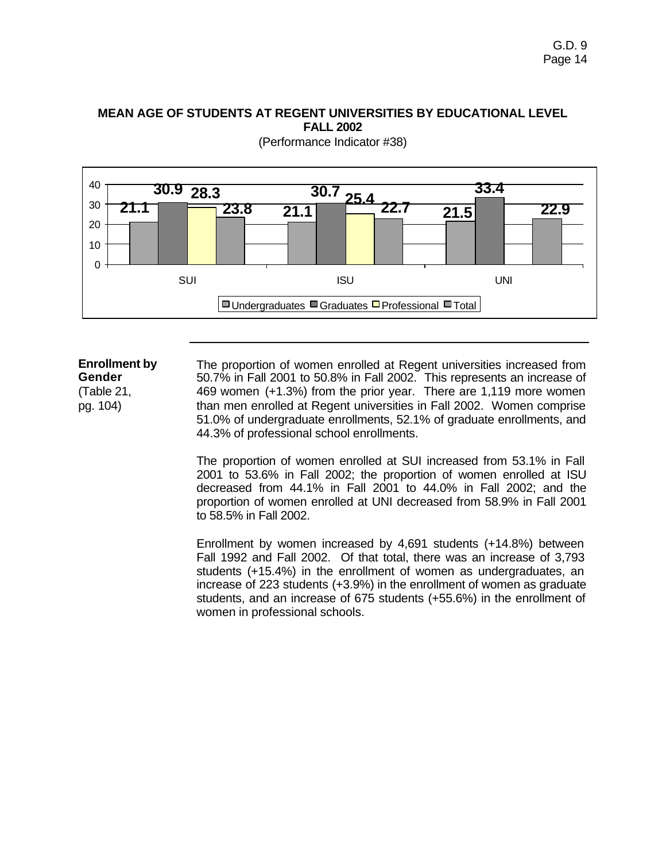## **MEAN AGE OF STUDENTS AT REGENT UNIVERSITIES BY EDUCATIONAL LEVEL FALL 2002**



(Performance Indicator #38)

#### **Enrollment by Gender** (Table 21, pg. 104) The proportion of women enrolled at Regent universities increased from 50.7% in Fall 2001 to 50.8% in Fall 2002. This represents an increase of 469 women (+1.3%) from the prior year. There are 1,119 more women than men enrolled at Regent universities in Fall 2002. Women comprise 51.0% of undergraduate enrollments, 52.1% of graduate enrollments, and 44.3% of professional school enrollments.

The proportion of women enrolled at SUI increased from 53.1% in Fall 2001 to 53.6% in Fall 2002; the proportion of women enrolled at ISU decreased from 44.1% in Fall 2001 to 44.0% in Fall 2002; and the proportion of women enrolled at UNI decreased from 58.9% in Fall 2001 to 58.5% in Fall 2002.

Enrollment by women increased by 4,691 students (+14.8%) between Fall 1992 and Fall 2002. Of that total, there was an increase of 3,793 students (+15.4%) in the enrollment of women as undergraduates, an increase of 223 students (+3.9%) in the enrollment of women as graduate students, and an increase of 675 students (+55.6%) in the enrollment of women in professional schools.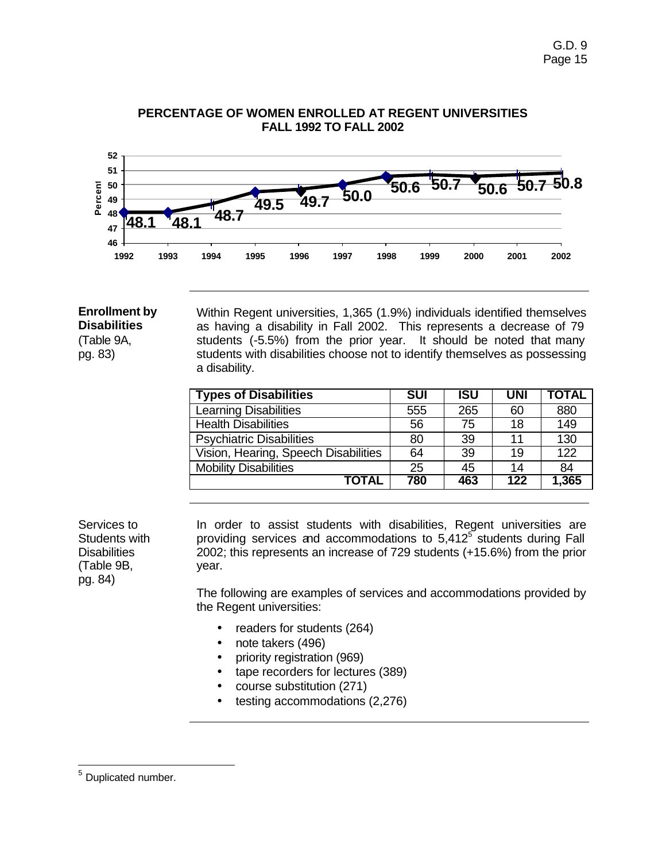

### **PERCENTAGE OF WOMEN ENROLLED AT REGENT UNIVERSITIES FALL 1992 TO FALL 2002**

#### **Enrollment by Disabilities**

(Table 9A, pg. 83)

Within Regent universities, 1,365 (1.9%) individuals identified themselves as having a disability in Fall 2002. This represents a decrease of 79 students (-5.5%) from the prior year. It should be noted that many students with disabilities choose not to identify themselves as possessing a disability.

| <b>Types of Disabilities</b>         | <b>SUI</b> | <b>ISU</b> | UNI | <b>TOTAL</b> |
|--------------------------------------|------------|------------|-----|--------------|
| <b>Learning Disabilities</b>         | 555        | 265        | 60  | 880          |
| <b>Health Disabilities</b>           | 56         | 75         | 18  | 149          |
| <b>Psychiatric Disabilities</b>      | 80         | 39         | 11  | 130          |
| Vision, Hearing, Speech Disabilities | 64         | 39         | 19  | 122          |
| <b>Mobility Disabilities</b>         | 25         | 45         | 14  | 84           |
| <b>TOTAL</b>                         | 780        | 463        | 122 | 1,365        |

Services to Students with **Disabilities** (Table 9B, pg. 84)

In order to assist students with disabilities, Regent universities are providing services and accommodations to  $5,412^5$  students during Fall 2002; this represents an increase of 729 students (+15.6%) from the prior year.

The following are examples of services and accommodations provided by the Regent universities:

- readers for students (264)
- note takers (496)
- priority registration (969)
- tape recorders for lectures (389)
- course substitution (271)
- testing accommodations (2,276)

<sup>&</sup>lt;u>s</u><br><sup>5</sup> Duplicated number.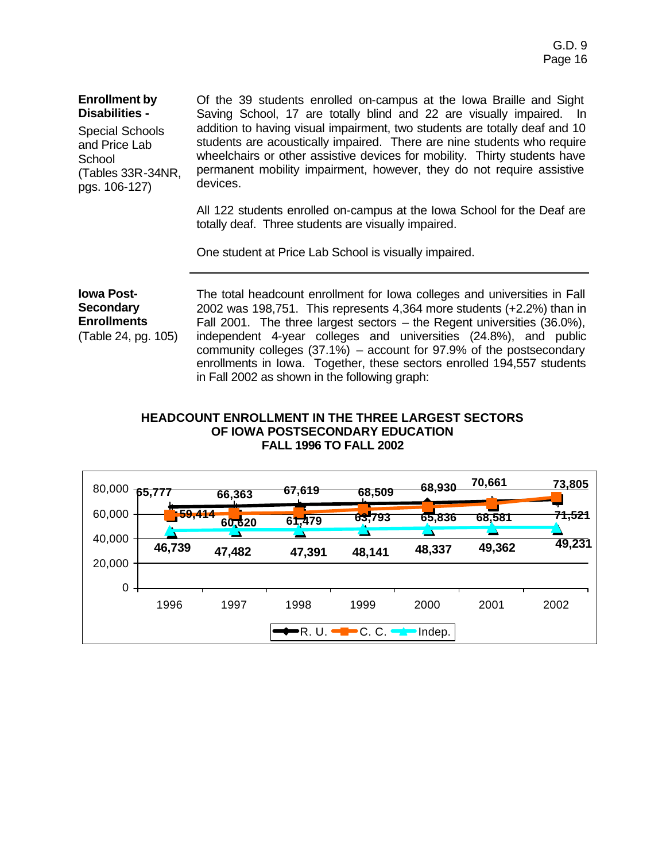| <b>Enrollment by</b><br>Disabilities -<br><b>Special Schools</b><br>and Price Lab<br>School<br>(Tables 33R-34NR,<br>pgs. 106-127) | Of the 39 students enrolled on-campus at the Iowa Braille and Sight<br>Saving School, 17 are totally blind and 22 are visually impaired. In<br>addition to having visual impairment, two students are totally deaf and 10<br>students are acoustically impaired. There are nine students who require<br>wheelchairs or other assistive devices for mobility. Thirty students have<br>permanent mobility impairment, however, they do not require assistive<br>devices. |
|-----------------------------------------------------------------------------------------------------------------------------------|------------------------------------------------------------------------------------------------------------------------------------------------------------------------------------------------------------------------------------------------------------------------------------------------------------------------------------------------------------------------------------------------------------------------------------------------------------------------|
|                                                                                                                                   | All 122 students enrolled on-campus at the Iowa School for the Deaf are<br>totally deaf. Three students are visually impaired.                                                                                                                                                                                                                                                                                                                                         |
|                                                                                                                                   | One student at Price Lab School is visually impaired.                                                                                                                                                                                                                                                                                                                                                                                                                  |

**Iowa Post-Secondary Enrollments** (Table 24, pg. 105) The total headcount enrollment for Iowa colleges and universities in Fall 2002 was 198,751. This represents 4,364 more students (+2.2%) than in Fall 2001. The three largest sectors – the Regent universities (36.0%), independent 4-year colleges and universities (24.8%), and public community colleges (37.1%) – account for 97.9% of the postsecondary enrollments in Iowa. Together, these sectors enrolled 194,557 students in Fall 2002 as shown in the following graph:

#### **HEADCOUNT ENROLLMENT IN THE THREE LARGEST SECTORS OF IOWA POSTSECONDARY EDUCATION FALL 1996 TO FALL 2002**

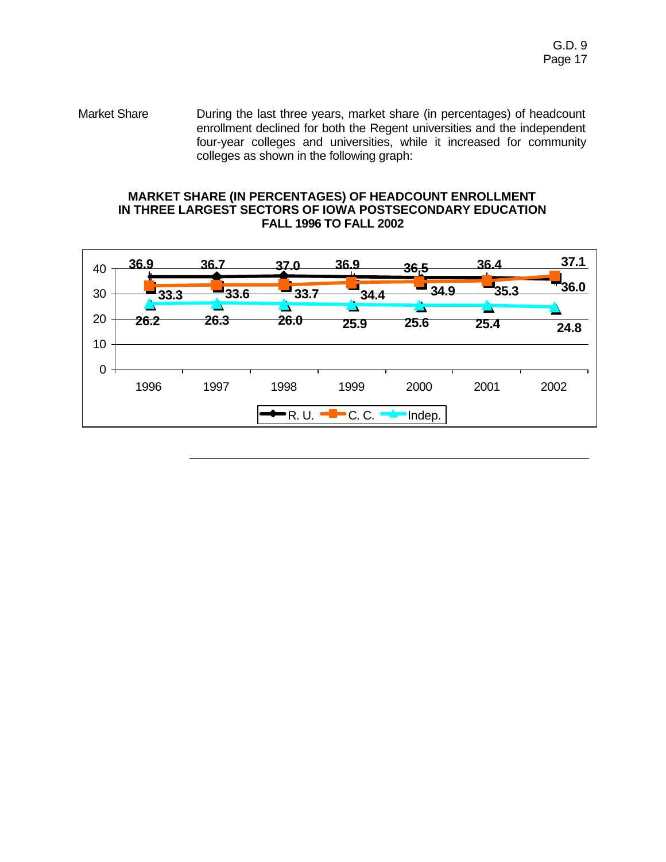Market Share **During the last three years, market share (in percentages) of headcount** enrollment declined for both the Regent universities and the independent four-year colleges and universities, while it increased for community colleges as shown in the following graph:

#### **MARKET SHARE (IN PERCENTAGES) OF HEADCOUNT ENROLLMENT IN THREE LARGEST SECTORS OF IOWA POSTSECONDARY EDUCATION FALL 1996 TO FALL 2002**

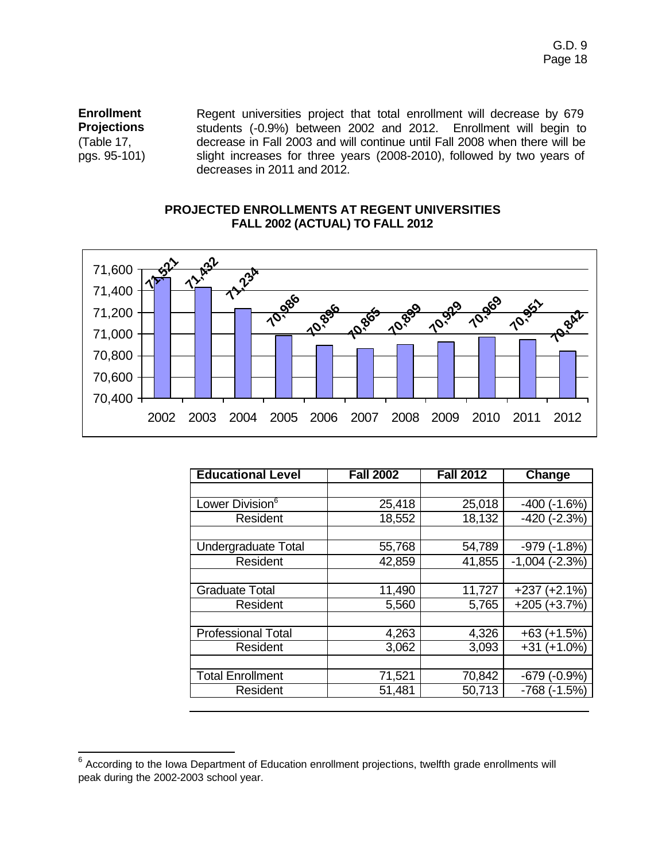**Enrollment Projections** (Table 17, pgs. 95-101) Regent universities project that total enrollment will decrease by 679 students (-0.9%) between 2002 and 2012. Enrollment will begin to decrease in Fall 2003 and will continue until Fall 2008 when there will be slight increases for three years (2008-2010), followed by two years of decreases in 2011 and 2012.

### **PROJECTED ENROLLMENTS AT REGENT UNIVERSITIES FALL 2002 (ACTUAL) TO FALL 2012**



| <b>Fall 2002</b> | <b>Fall 2012</b> | Change              |
|------------------|------------------|---------------------|
|                  |                  |                     |
| 25,418           | 25,018           | $(-1.6%)$<br>$-400$ |
| 18,552           | 18,132           | $-420$ $(-2.3%)$    |
|                  |                  |                     |
| 55,768           | 54,789           | $-979$ $(-1.8%)$    |
| 42,859           | 41,855           | $-1,004$ $(-2.3%)$  |
|                  |                  |                     |
| 11,490           | 11,727           | $+237 (+2.1%)$      |
| 5,560            | 5,765            | $+205 (+3.7%)$      |
|                  |                  |                     |
| 4,263            | 4,326            | $+63 (+1.5%)$       |
| 3,062            | 3,093            | $+31 (+1.0%)$       |
|                  |                  |                     |
| 71,521           | 70,842           | $-679(-0.9%)$       |
| 51,481           | 50,713           | $-768$ ( $-1.5\%$ ) |
|                  |                  |                     |

 6 According to the Iowa Department of Education enrollment projections, twelfth grade enrollments will peak during the 2002-2003 school year.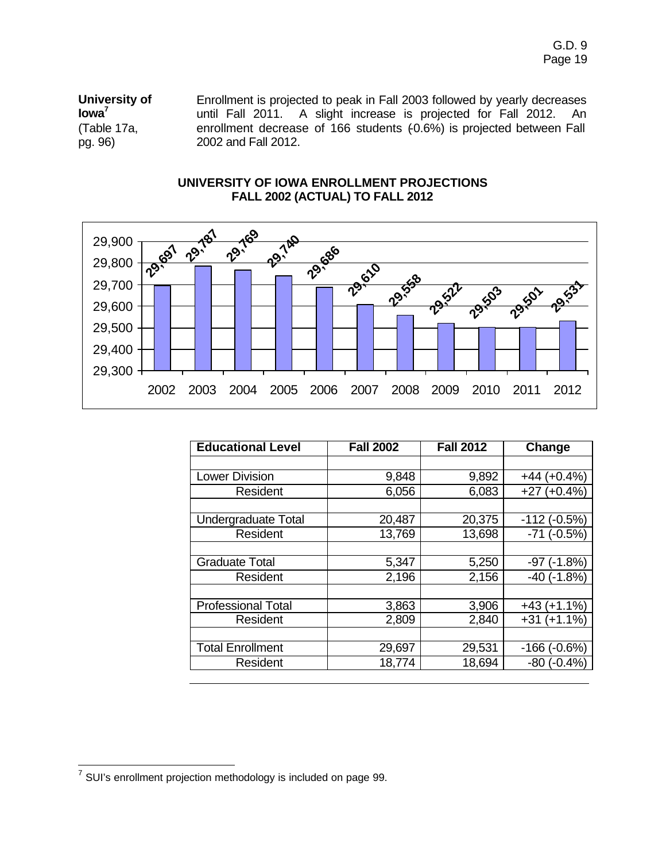**University of Iowa<sup>7</sup>** (Table 17a, pg. 96) Enrollment is projected to peak in Fall 2003 followed by yearly decreases until Fall 2011. A slight increase is projected for Fall 2012. An enrollment decrease of 166 students (0.6%) is projected between Fall 2002 and Fall 2012.

## **UNIVERSITY OF IOWA ENROLLMENT PROJECTIONS FALL 2002 (ACTUAL) TO FALL 2012**



| <b>Educational Level</b>  | <b>Fall 2002</b> | <b>Fall 2012</b> | Change              |
|---------------------------|------------------|------------------|---------------------|
|                           |                  |                  |                     |
| Lower Division            | 9,848            | 9,892            | $+44 (+0.4%)$       |
| Resident                  | 6,056            | 6,083            | $+27 (+0.4%)$       |
|                           |                  |                  |                     |
| Undergraduate Total       | 20,487           | 20,375           | $-112$ ( $-0.5%$ )  |
| Resident                  | 13,769           | 13,698           | $-71$ $(-0.5%)$     |
|                           |                  |                  |                     |
| <b>Graduate Total</b>     | 5,347            | 5,250            | $-97$ ( $-1.8%$ )   |
| Resident                  | 2,196            | 2,156            | $-40$ ( $-1.8%$ )   |
|                           |                  |                  |                     |
| <b>Professional Total</b> | 3,863            | 3,906            | $+43 (+1.1%)$       |
| Resident                  | 2,809            | 2,840            | $+31 (+1.1%)$       |
|                           |                  |                  |                     |
| <b>Total Enrollment</b>   | 29,697           | 29,531           | $-166$ ( $-0.6\%$ ) |
| Resident                  | 18,774           | 18,694           | $-80$ ( $-0.4\%$ )  |

 7 SUI's enrollment projection methodology is included on page 99.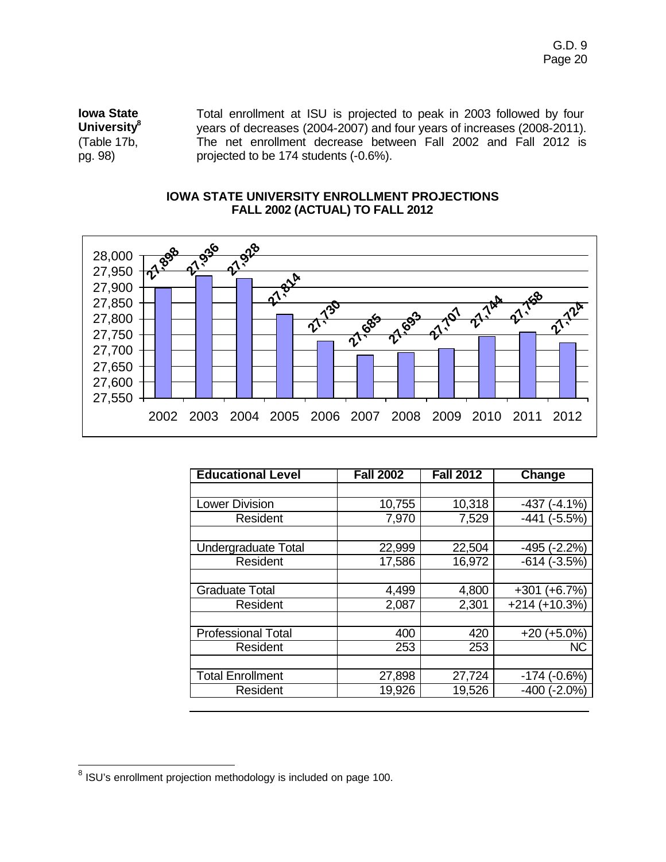**Iowa State University<sup>8</sup>** (Table 17b, pg. 98) Total enrollment at ISU is projected to peak in 2003 followed by four years of decreases (2004-2007) and four years of increases (2008-2011). The net enrollment decrease between Fall 2002 and Fall 2012 is projected to be 174 students (-0.6%).

#### **IOWA STATE UNIVERSITY ENROLLMENT PROJECTIONS FALL 2002 (ACTUAL) TO FALL 2012**



| <b>Educational Level</b>  | <b>Fall 2002</b> | <b>Fall 2012</b> | Change             |
|---------------------------|------------------|------------------|--------------------|
|                           |                  |                  |                    |
| <b>Lower Division</b>     | 10,755           | 10,318           | $(-4.1\%)$<br>-437 |
| Resident                  | 7,970            | 7,529            | $-441$ $(-5.5%)$   |
|                           |                  |                  |                    |
| Undergraduate Total       | 22,999           | 22,504           | $-495$ $(-2.2%)$   |
| Resident                  | 17,586           | 16,972           | $-614(-3.5%)$      |
|                           |                  |                  |                    |
| <b>Graduate Total</b>     | 4,499            | 4,800            | $+301 (+6.7%)$     |
| Resident                  | 2,087            | 2,301            | $+214 (+10.3%)$    |
|                           |                  |                  |                    |
| <b>Professional Total</b> | 400              | 420              | $+20 (+5.0\%)$     |
| Resident                  | 253              | 253              | <b>NC</b>          |
|                           |                  |                  |                    |
| <b>Total Enrollment</b>   | 27,898           | 27,724           | $-174$ $(-0.6%)$   |
| Resident                  | 19,926           | 19,526           | $-400$ $(-2.0\%)$  |

 8 ISU's enrollment projection methodology is included on page 100.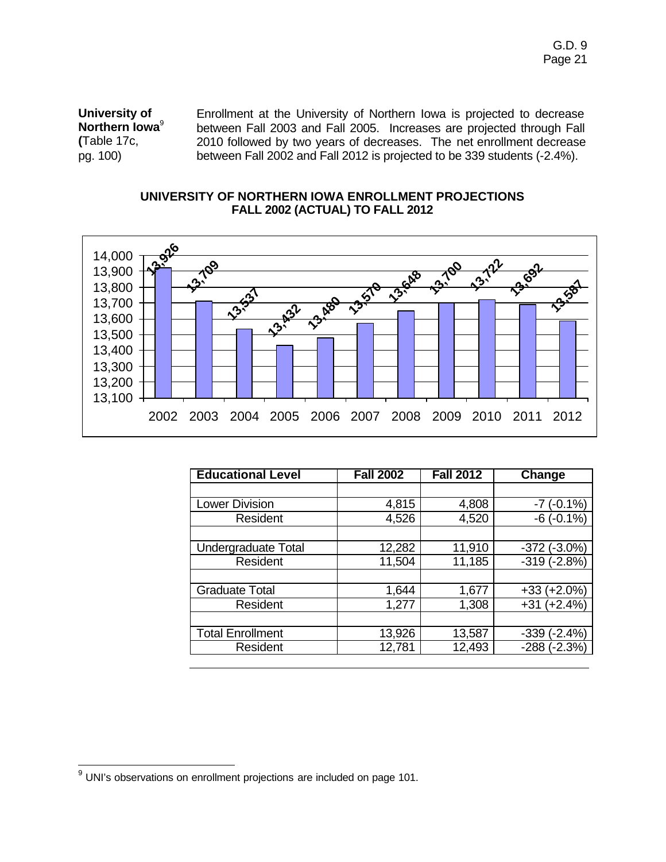**University of Northern Iowa**<sup>9</sup> **(**Table 17c, pg. 100)

Enrollment at the University of Northern Iowa is projected to decrease between Fall 2003 and Fall 2005. Increases are projected through Fall 2010 followed by two years of decreases. The net enrollment decrease between Fall 2002 and Fall 2012 is projected to be 339 students (-2.4%).

#### **UNIVERSITY OF NORTHERN IOWA ENROLLMENT PROJECTIONS FALL 2002 (ACTUAL) TO FALL 2012**



| <b>Educational Level</b> | <b>Fall 2002</b> | <b>Fall 2012</b> | Change            |
|--------------------------|------------------|------------------|-------------------|
|                          |                  |                  |                   |
| Lower Division           | 4,815            | 4,808            | $-7$ ( $-0.1\%$ ) |
| Resident                 | 4,526            | 4,520            | $-6(-0.1\%)$      |
|                          |                  |                  |                   |
| Undergraduate Total      | 12,282           | 11,910           | $-372$ $(-3.0\%)$ |
| Resident                 | 11,504           | 11,185           | $-319(-2.8%)$     |
|                          |                  |                  |                   |
| <b>Graduate Total</b>    | 1,644            | 1,677            | $+33 (+2.0\%)$    |
| Resident                 | 1,277            | 1,308            | $+31 (+2.4%)$     |
|                          |                  |                  |                   |
| <b>Total Enrollment</b>  | 13,926           | 13,587           | $-339(-2.4%)$     |
| Resident                 | 12,781           | 12,493           | $-288$ $(-2.3%)$  |

UNI's observations on enrollment projections are included on page 101.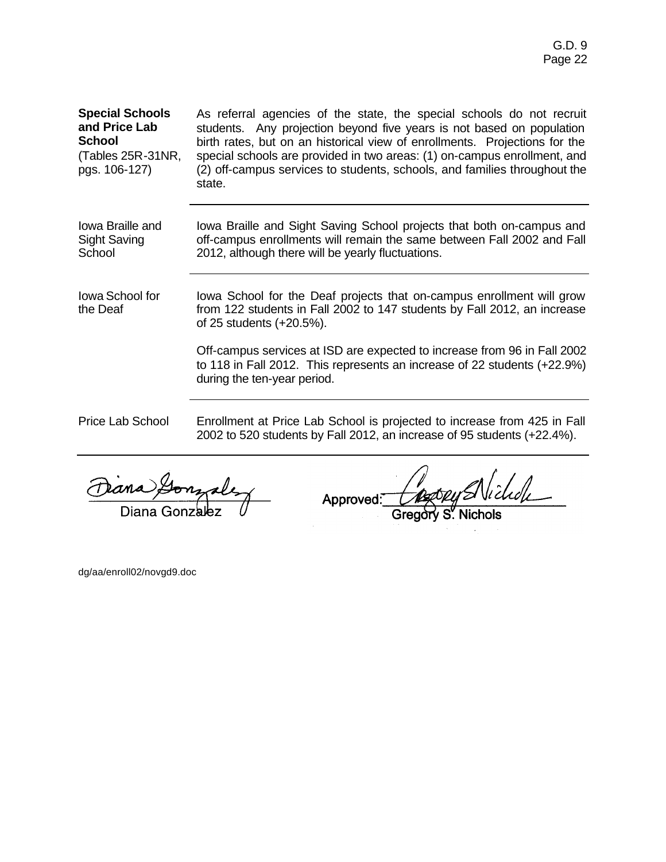## **Special Schools and Price Lab School**

(Tables 25R-31NR, pgs. 106-127)

As referral agencies of the state, the special schools do not recruit students. Any projection beyond five years is not based on population birth rates, but on an historical view of enrollments. Projections for the special schools are provided in two areas: (1) on-campus enrollment, and (2) off-campus services to students, schools, and families throughout the state.

Iowa Braille and Sight Saving **School** 

Iowa Braille and Sight Saving School projects that both on-campus and off-campus enrollments will remain the same between Fall 2002 and Fall 2012, although there will be yearly fluctuations.

Iowa School for the Deaf Iowa School for the Deaf projects that on-campus enrollment will grow from 122 students in Fall 2002 to 147 students by Fall 2012, an increase of 25 students (+20.5%).

> Off-campus services at ISD are expected to increase from 96 in Fall 2002 to 118 in Fall 2012. This represents an increase of 22 students (+22.9%) during the ten-year period.

Price Lab School Enrollment at Price Lab School is projected to increase from 425 in Fall 2002 to 520 students by Fall 2012, an increase of 95 students (+22.4%).

Diana Gonza

Approved:

dg/aa/enroll02/novgd9.doc